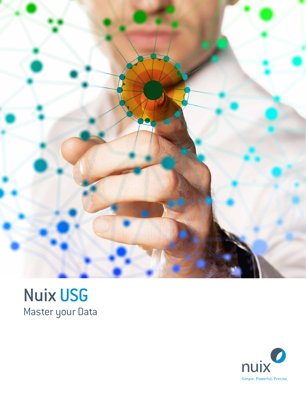

## Nuix USG Master your Data

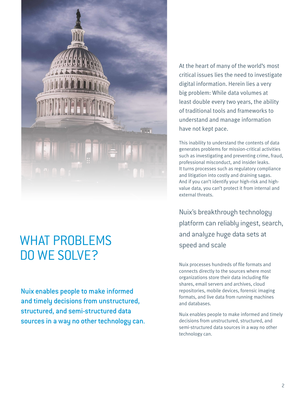

## WHAT PROBLEMS DO WE SOLVE?

Nuix enables people to make informed and timely decisions from unstructured, structured, and semi-structured data sources in a way no other technology can. At the heart of many of the world's most critical issues lies the need to investigate digital information. Herein lies a very big problem: While data volumes at least double every two years, the ability of traditional tools and frameworks to understand and manage information have not kept pace.

This inability to understand the contents of data generates problems for mission-critical activities such as investigating and preventing crime, fraud, professional misconduct, and insider leaks. It turns processes such as regulatory compliance and litigation into costly and draining sagas. And if you can't identify your high-risk and highvalue data, you can't protect it from internal and external threats.

Nuix's breakthrough technology platform can reliably ingest, search, and analyze huge data sets at speed and scale

Nuix processes hundreds of file formats and connects directly to the sources where most organizations store their data including file shares, email servers and archives, cloud repositories, mobile devices, forensic imaging formats, and live data from running machines and databases.

Nuix enables people to make informed and timely decisions from unstructured, structured, and semi-structured data sources in a way no other technology can.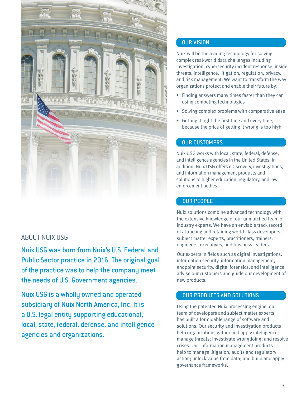

### ABOUT NUIX USG

Nuix USG was born from Nuix's U.S. Federal and Public Sector practice in 2016. The original goal of the practice was to help the company meet the needs of U.S. Government agencies.

Nuix USG is a wholly owned and operated subsidiary of Nuix North America, Inc. It is a U.S. legal entity supporting educational, local, state, federal, defense, and intelligence agencies and organizations.

#### OUR VISION

Nuix will be the leading technology for solving complex real-world data challenges including investigation, cybersecurity incident response, insider threats, intelligence, litigation, regulation, privacy, and risk management. We want to transform the way organizations protect and enable their future by:

- Finding answers many times faster than they can using competing technologies
- Solving complex problems with comparative ease
- Getting it right the first time and every time, because the price of getting it wrong is too high.

#### OUR CUSTOMERS

Nuix USG works with local, state, federal, defense, and intelligence agencies in the United States. In addition, Nuix USG offers eDiscovery, investigations, and information management products and solutions to higher education, regulatory, and law enforcement bodies.

#### OUR PEOPLE

Nuix solutions combine advanced technology with the extensive knowledge of our unmatched team of industry experts. We have an enviable track record of attracting and retaining world-class developers, subject matter experts, practitioners, trainers, engineers, executives, and business leaders.

Our experts in fields such as digital investigations, information security, information management, endpoint security, digital forensics, and intelligence advise our customers and guide our development of new products.

#### OUR PRODUCTS AND SOLUTIONS

Using the patented Nuix processing engine, our team of developers and subject matter experts has built a formidable range of software and solutions. Our security and investigation products help organizations gather and apply intelligence; manage threats; investigate wrongdoing; and resolve crises. Our information management products help to manage litigation, audits and regulatory action; unlock value from data; and build and apply governance frameworks.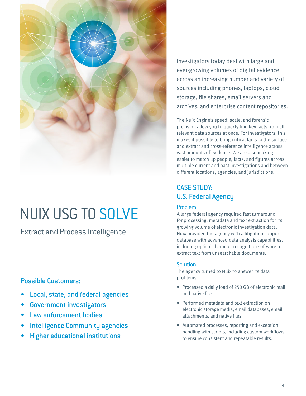

## NUIX USG TO SOLVE

Extract and Process Intelligence

## Possible Customers:

- Local, state, and federal agencies
- Government investigators
- Law enforcement bodies
- **Intelligence Community agencies**
- Higher educational institutions

Investigators today deal with large and ever-growing volumes of digital evidence across an increasing number and variety of sources including phones, laptops, cloud storage, file shares, email servers and archives, and enterprise content repositories.

The Nuix Engine's speed, scale, and forensic precision allow you to quickly find key facts from all relevant data sources at once. For investigators, this makes it possible to bring critical facts to the surface and extract and cross-reference intelligence across vast amounts of evidence. We are also making it easier to match up people, facts, and figures across multiple current and past investigations and between different locations, agencies, and jurisdictions.

## CASE STUDY: U.S. Federal Agency

#### Problem

A large federal agency required fast turnaround for processing, metadata and text extraction for its growing volume of electronic investigation data. Nuix provided the agency with a litigation support database with advanced data analysis capabilities, including optical character recognition software to extract text from unsearchable documents.

#### **Solution**

The agency turned to Nuix to answer its data problems.

- Processed a daily load of 250 GB of electronic mail and native files
- Performed metadata and text extraction on electronic storage media, email databases, email attachments, and native files
- Automated processes, reporting and exception handling with scripts, including custom workflows, to ensure consistent and repeatable results.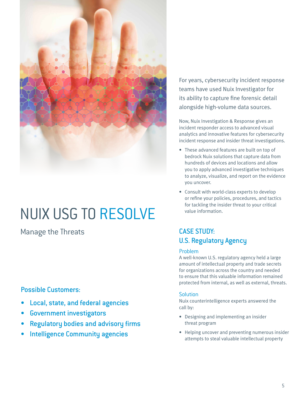

## NUIX USG TO RESOLVE

Manage the Threats CASE STUDY:

### Possible Customers:

- Local, state, and federal agencies
- Government investigators
- Regulatory bodies and advisory firms
- Intelligence Community agencies

For years, cybersecurity incident response teams have used Nuix Investigator for its ability to capture fine forensic detail alongside high-volume data sources.

Now, Nuix Investigation & Response gives an incident responder access to advanced visual analytics and innovative features for cybersecurity incident response and insider threat investigations.

- These advanced features are built on top of bedrock Nuix solutions that capture data from hundreds of devices and locations and allow you to apply advanced investigative techniques to analyze, visualize, and report on the evidence you uncover.
- Consult with world-class experts to develop or refine your policies, procedures, and tactics for tackling the insider threat to your critical value information.

## U.S. Regulatory Agency

#### Problem

A well-known U.S. regulatory agency held a large amount of intellectual property and trade secrets for organizations across the country and needed to ensure that this valuable information remained protected from internal, as well as external, threats.

#### **Solution**

Nuix counterintelligence experts answered the call by:

- Designing and implementing an insider threat program
- Helping uncover and preventing numerous insider attempts to steal valuable intellectual property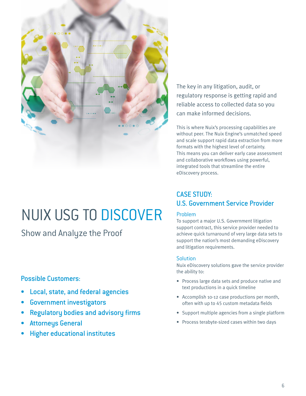

# NUIX USG TO DISCOVER

Show and Analyze the Proof

## Possible Customers:

- Local, state, and federal agencies
- Government investigators
- Regulatory bodies and advisory firms
- Attorneys General
- Higher educational institutes

The key in any litigation, audit, or regulatory response is getting rapid and reliable access to collected data so you can make informed decisions.

This is where Nuix's processing capabilities are without peer. The Nuix Engine's unmatched speed and scale support rapid data extraction from more formats with the highest level of certainty. This means you can deliver early case assessment and collaborative workflows using powerful, integrated tools that streamline the entire eDiscovery process.

## CASE STUDY: U.S. Government Service Provider

#### Problem

To support a major U.S. Government litigation support contract, this service provider needed to achieve quick turnaround of very large data sets to support the nation's most demanding eDiscovery and litigation requirements.

#### **Solution**

Nuix eDiscovery solutions gave the service provider the ability to:

- Process large data sets and produce native and text productions in a quick timeline
- Accomplish 10-12 case productions per month, often with up to 45 custom metadata fields
- Support multiple agencies from a single platform
- Process terabyte-sized cases within two days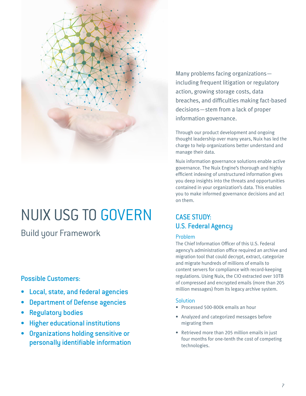

## NUIX USG TO GOVERN

Build your Framework

## Possible Customers:

- Local, state, and federal agencies
- **Department of Defense agencies**
- **Regulatory bodies**
- Higher educational institutions
- Organizations holding sensitive or personally identifiable information

Many problems facing organizations including frequent litigation or regulatory action, growing storage costs, data breaches, and difficulties making fact-based decisions—stem from a lack of proper information governance.

Through our product development and ongoing thought leadership over many years, Nuix has led the charge to help organizations better understand and manage their data.

Nuix information governance solutions enable active governance. The Nuix Engine's thorough and highly efficient indexing of unstructured information gives you deep insights into the threats and opportunities contained in your organization's data. This enables you to make informed governance decisions and act on them.

## CASE STUDY: U.S. Federal Agency

#### Problem

The Chief Information Officer of this U.S. Federal agency's administration office required an archive and migration tool that could decrypt, extract, categorize and migrate hundreds of millions of emails to content servers for compliance with record-keeping regulations. Using Nuix, the CIO extracted over 10TB of compressed and encrypted emails (more than 205 million messages) from its legacy archive system.

#### **Solution**

- Processed 500-800k emails an hour
- Analyzed and categorized messages before migrating them
- Retrieved more than 205 million emails in just four months for one-tenth the cost of competing technologies.